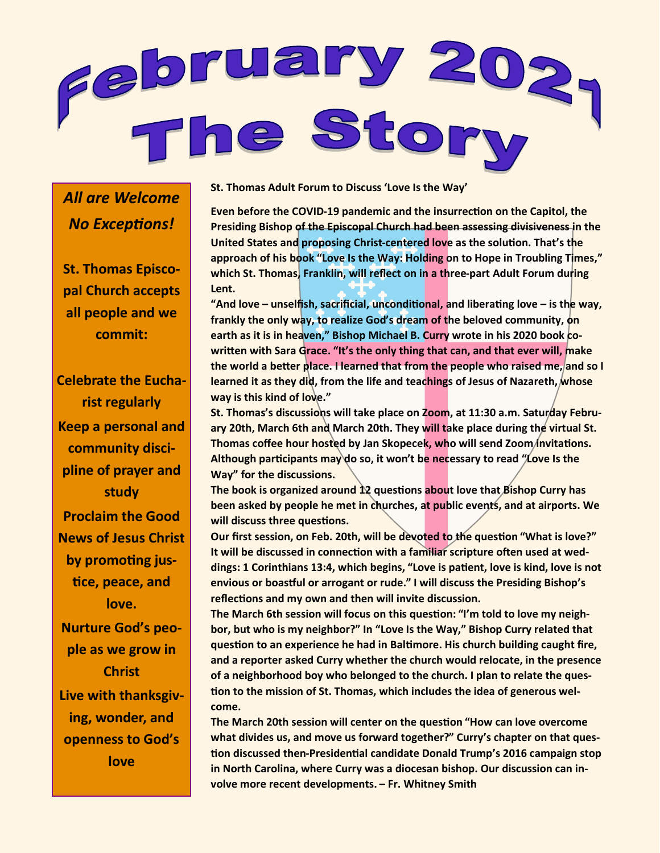

*All are Welcome No Exceptions!*

**St. Thomas Episcopal Church accepts all people and we commit:**

**Celebrate the Eucharist regularly Keep a personal and community discipline of prayer and study Proclaim the Good News of Jesus Christ by promoting justice, peace, and love. Nurture God's people as we grow in Christ Live with thanksgiving, wonder, and openness to God's love**

**St. Thomas Adult Forum to Discuss 'Love Is the Way'**

**Even before the COVID-19 pandemic and the insurrection on the Capitol, the Presiding Bishop of the Episcopal Church had been assessing divisiveness in the United States and proposing Christ-centered love as the solution. That's the approach of his book "Love Is the Way: Holding on to Hope in Troubling Times," which St. Thomas, Franklin, will reflect on in a three-part Adult Forum during Lent.**

**"And love – unselfish, sacrificial, unconditional, and liberating love – is the way, frankly the only way, to realize God's dream of the beloved community, on earth as it is in heaven," Bishop Michael B. Curry wrote in his 2020 book cowritten with Sara Grace. "It's the only thing that can, and that ever will, make the world a better place. I learned that from the people who raised me, and so I learned it as they did, from the life and teachings of Jesus of Nazareth, whose way is this kind of love."**

St. Thomas's discussions will take place on Zoom, at 11:30 a.m. Saturday Febru**ary 20th, March 6th and March 20th. They will take place during the virtual St. Thomas coffee hour hosted by Jan Skopecek, who will send Zoom/invitations. Although participants may do so, it won't be necessary to read "Love Is the Way" for the discussions.** 

**The book is organized around 12 questions about love that Bishop Curry has been asked by people he met in churches, at public events, and at airports. We will discuss three questions.**

**Our first session, on Feb. 20th, will be devoted to the question "What is love?" It will be discussed in connection with a familiar scripture often used at weddings: 1 Corinthians 13:4, which begins, "Love is patient, love is kind, love is not envious or boastful or arrogant or rude." I will discuss the Presiding Bishop's reflections and my own and then will invite discussion.** 

**The March 6th session will focus on this question: "I'm told to love my neighbor, but who is my neighbor?" In "Love Is the Way," Bishop Curry related that question to an experience he had in Baltimore. His church building caught fire, and a reporter asked Curry whether the church would relocate, in the presence of a neighborhood boy who belonged to the church. I plan to relate the question to the mission of St. Thomas, which includes the idea of generous welcome.**

**The March 20th session will center on the question "How can love overcome what divides us, and move us forward together?" Curry's chapter on that question discussed then-Presidential candidate Donald Trump's 2016 campaign stop in North Carolina, where Curry was a diocesan bishop. Our discussion can involve more recent developments. – Fr. Whitney Smith**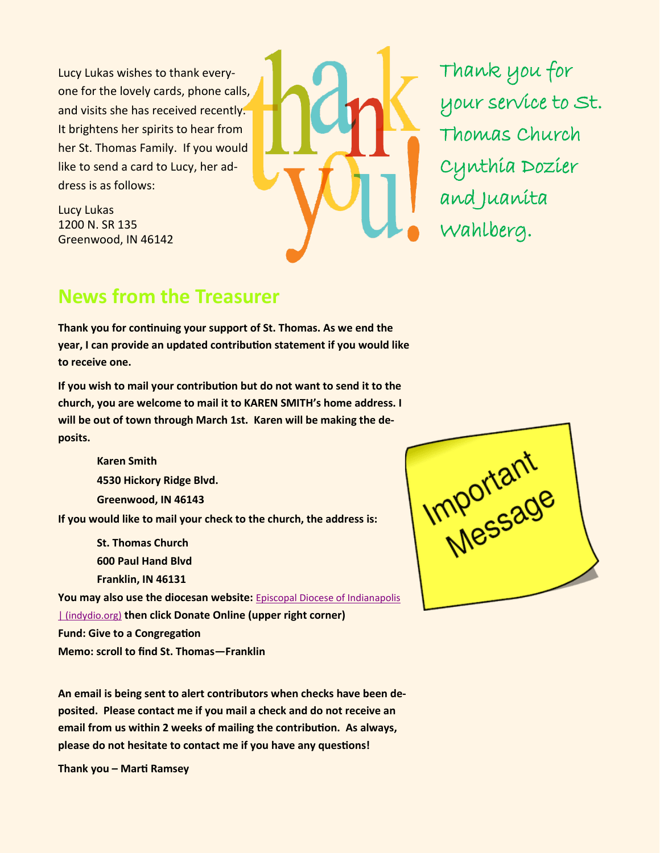<span id="page-1-0"></span>Lucy Lukas wishes to thank everyone for the lovely cards, phone calls, and visits she has received recently. It brightens her spirits to hear from her St. Thomas Family. If you would like to send a card to Lucy, her address is as follows:

Lucy Lukas 1200 N. SR 135 Greenwood, IN 46142

Thank you for your service to St. Thomas Church Cynthia Dozier and Juanita Wahlberg.

### **News from the Treasurer**

**Thank you for continuing your support of St. Thomas. As we end the year, I can provide an updated contribution statement if you would like to receive one.** 

**If you wish to mail your contribution but do not want to send it to the church, you are welcome to mail it to KAREN SMITH's home address. I will be out of town through March 1st. Karen will be making the deposits.** 

> **Karen Smith 4530 Hickory Ridge Blvd. Greenwood, IN 46143**

**If you would like to mail your check to the church, the address is:**

**St. Thomas Church 600 Paul Hand Blvd Franklin, IN 46131**

**You may also use the diocesan website:** [Episcopal Diocese of Indianapolis](#page-1-0)  [| \(indydio.org\)](#page-1-0) **then click Donate Online (upper right corner) Fund: Give to a Congregation Memo: scroll to find St. Thomas—Franklin**

**An email is being sent to alert contributors when checks have been deposited. Please contact me if you mail a check and do not receive an email from us within 2 weeks of mailing the contribution. As always, please do not hesitate to contact me if you have any questions!**

**Thank you – Marti Ramsey**

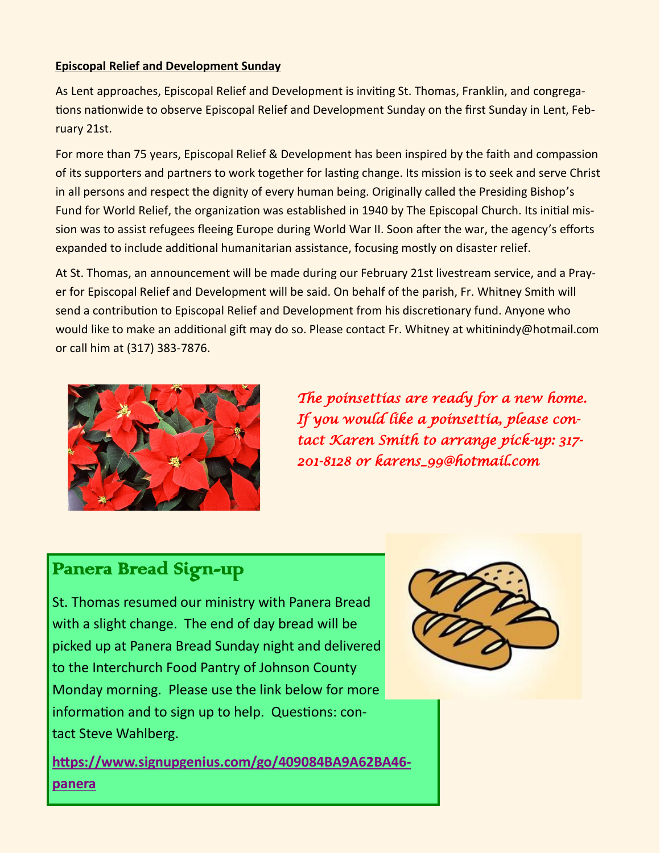#### <span id="page-2-0"></span>**Episcopal Relief and Development Sunday**

As Lent approaches, Episcopal Relief and Development is inviting St. Thomas, Franklin, and congregations nationwide to observe Episcopal Relief and Development Sunday on the first Sunday in Lent, February 21st.

For more than 75 years, Episcopal Relief & Development has been inspired by the faith and compassion of its supporters and partners to work together for lasting change. Its mission is to seek and serve Christ in all persons and respect the dignity of every human being. Originally called the Presiding Bishop's Fund for World Relief, the organization was established in 1940 by The Episcopal Church. Its initial mission was to assist refugees fleeing Europe during World War II. Soon after the war, the agency's efforts expanded to include additional humanitarian assistance, focusing mostly on disaster relief.

At St. Thomas, an announcement will be made during our February 21st livestream service, and a Prayer for Episcopal Relief and Development will be said. On behalf of the parish, Fr. Whitney Smith will send a contribution to Episcopal Relief and Development from his discretionary fund. Anyone who would like to make an additional gift may do so. Please contact Fr. Whitney at whitinindy@hotmail.com or call him at (317) 383-7876.



*The poinsettias are ready for a new home. If you would like a poinsettia, please contact Karen Smith to arrange pick-up: 317- 201-8128 or karens\_99@hotmail.com* 

### Panera Bread Sign-up

St. Thomas resumed our ministry with Panera Bread with a slight change. The end of day bread will be picked up at Panera Bread Sunday night and delivered to the Interchurch Food Pantry of Johnson County Monday morning. Please use the link below for more information and to sign up to help. Questions: contact Steve Wahlberg.

**[https://www.signupgenius.com/go/409084BA9A62BA46](#page-2-0) [panera](#page-2-0)**

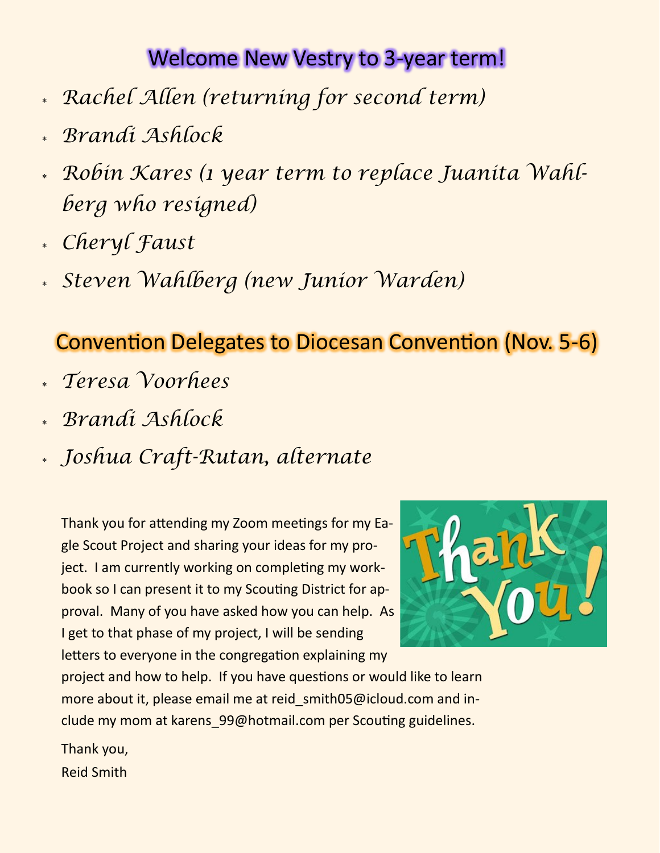# Welcome New Vestry to 3-year term!

- *Rachel Allen (returning for second term)*
- *Brandi Ashlock*
- *Robin Kares (1 year term to replace Juanita Wahlberg who resigned)*
- *Cheryl Faust*
- *Steven Wahlberg (new Junior Warden)*

## Convention Delegates to Diocesan Convention (Nov. 5-6)

- *Teresa Voorhees*
- *Brandi Ashlock*
- *Joshua Craft-Rutan, alternate*

Thank you for attending my Zoom meetings for my Eagle Scout Project and sharing your ideas for my project. I am currently working on completing my workbook so I can present it to my Scouting District for approval. Many of you have asked how you can help. As I get to that phase of my project, I will be sending letters to everyone in the congregation explaining my



project and how to help. If you have questions or would like to learn more about it, please email me at reid smith05@icloud.com and include my mom at karens\_99@hotmail.com per Scouting guidelines.

Thank you, Reid Smith